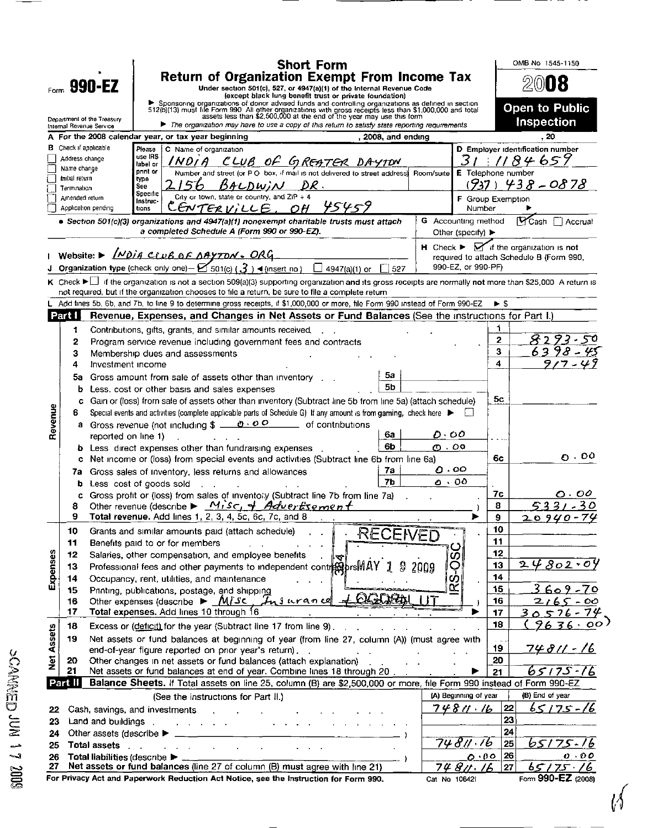|                                                                                                                                                                                                                    |                                                  |                                                                                                                                                                                                                                            | <b>Short Form</b>                                                                                                                                                                                                                                                               |                               |                         | OMB No 1545-1150                                                                 |  |  |
|--------------------------------------------------------------------------------------------------------------------------------------------------------------------------------------------------------------------|--------------------------------------------------|--------------------------------------------------------------------------------------------------------------------------------------------------------------------------------------------------------------------------------------------|---------------------------------------------------------------------------------------------------------------------------------------------------------------------------------------------------------------------------------------------------------------------------------|-------------------------------|-------------------------|----------------------------------------------------------------------------------|--|--|
| <b>990-EZ</b>                                                                                                                                                                                                      |                                                  |                                                                                                                                                                                                                                            | <b>Return of Organization Exempt From Income Tax</b>                                                                                                                                                                                                                            |                               |                         | 2008                                                                             |  |  |
| Form                                                                                                                                                                                                               |                                                  |                                                                                                                                                                                                                                            | Under section 501(c), 527, or 4947(a)(1) of the Internal Revenue Code<br>(except black lung benefit trust or private foundation)                                                                                                                                                |                               |                         |                                                                                  |  |  |
|                                                                                                                                                                                                                    |                                                  |                                                                                                                                                                                                                                            | > Sponsoring organizations of donor advised funds and controlling organizations as defined in section 512(b)(13) must file Form 990 All other organizations with gross receipts less than \$1,000,000 and total assets less tha                                                 |                               |                         | Open to Public                                                                   |  |  |
|                                                                                                                                                                                                                    |                                                  | Department of the Treasury<br>Internal Revenue Service                                                                                                                                                                                     | The organization may have to use a copy of this return to satisfy state reporting requirements                                                                                                                                                                                  |                               |                         | Inspection                                                                       |  |  |
|                                                                                                                                                                                                                    |                                                  | <b>B</b> Check if applicable                                                                                                                                                                                                               | A For the 2008 calendar year, or tax year beginning<br>, 2008, and ending                                                                                                                                                                                                       |                               |                         | 20                                                                               |  |  |
|                                                                                                                                                                                                                    | Address change                                   |                                                                                                                                                                                                                                            | Please<br>C Name of organization<br>use IRS<br><u>CLUB OF GREATER</u>                                                                                                                                                                                                           | 3                             |                         | D Employer identification number<br>84657                                        |  |  |
|                                                                                                                                                                                                                    | Name change                                      |                                                                                                                                                                                                                                            | label or<br>pnnt or<br>Number and street (or P O box, if mail is not delivered to street address)<br>Room/suite                                                                                                                                                                 | <b>E</b> Telephone number     |                         |                                                                                  |  |  |
|                                                                                                                                                                                                                    | Initial return<br>Termination                    |                                                                                                                                                                                                                                            | <b>type</b><br>DR.<br>BALDWIN<br>See                                                                                                                                                                                                                                            | (737)                         |                         | 438-0878                                                                         |  |  |
|                                                                                                                                                                                                                    | Amended return                                   |                                                                                                                                                                                                                                            | Specific<br>City or town, state or country, and $ZIP + 4$<br>Instruc-                                                                                                                                                                                                           | F Group Exemption             |                         |                                                                                  |  |  |
|                                                                                                                                                                                                                    |                                                  | Application pending                                                                                                                                                                                                                        | ERVILLE<br>OH<br>tions<br>• Section 501(c)(3) organizations and 4947(a)(1) nonexempt charitable trusts must attach                                                                                                                                                              | Number<br>G Accounting method |                         | <b>MCash</b><br>$\Box$ Accrual                                                   |  |  |
|                                                                                                                                                                                                                    |                                                  |                                                                                                                                                                                                                                            | a completed Schedule A (Form 990 or 990-EZ).                                                                                                                                                                                                                                    | Other (specify) ▶             |                         |                                                                                  |  |  |
|                                                                                                                                                                                                                    |                                                  |                                                                                                                                                                                                                                            |                                                                                                                                                                                                                                                                                 |                               |                         | $H$ Check $\blacktriangleright$ $\blacktriangleright$ if the organization is not |  |  |
|                                                                                                                                                                                                                    |                                                  |                                                                                                                                                                                                                                            | Website: $\triangleright$ <i>Noig CLUB OF OAYTON. ORG</i>                                                                                                                                                                                                                       | 990-EZ or 990-PF)             |                         | required to attach Schedule B (Form 990,                                         |  |  |
|                                                                                                                                                                                                                    |                                                  |                                                                                                                                                                                                                                            | Organization type (check only one) - $\boxtimes$ 501(c) ( $\emph{3}$ ) < (insert no)<br>4947(a)(1) or<br>$\vert$ 527<br>K Check ▶ if the organization is not a section 509(a)(3) supporting organization and its gross receipts are normally not more than \$25,000 A return is |                               |                         |                                                                                  |  |  |
|                                                                                                                                                                                                                    |                                                  |                                                                                                                                                                                                                                            | not required, but if the organization chooses to file a return, be sure to file a complete return                                                                                                                                                                               |                               |                         |                                                                                  |  |  |
|                                                                                                                                                                                                                    |                                                  |                                                                                                                                                                                                                                            | Add lines 5b, 6b, and 7b, to line 9 to determine gross receipts, if \$1,000,000 or more, file Form 990 instead of Form 990-EZ                                                                                                                                                   |                               | $\blacktriangleright$ 5 |                                                                                  |  |  |
|                                                                                                                                                                                                                    | Part I                                           |                                                                                                                                                                                                                                            | Revenue, Expenses, and Changes in Net Assets or Fund Balances (See the instructions for Part I.)                                                                                                                                                                                |                               |                         |                                                                                  |  |  |
|                                                                                                                                                                                                                    | 1                                                |                                                                                                                                                                                                                                            | Contributions, gifts, grants, and similar amounts received.                                                                                                                                                                                                                     |                               | 2                       |                                                                                  |  |  |
|                                                                                                                                                                                                                    | 2<br>3                                           |                                                                                                                                                                                                                                            | Program service revenue including government fees and contracts<br>Membership dues and assessments                                                                                                                                                                              |                               | 3                       |                                                                                  |  |  |
|                                                                                                                                                                                                                    | 4                                                | Investment income                                                                                                                                                                                                                          |                                                                                                                                                                                                                                                                                 |                               | 4                       |                                                                                  |  |  |
|                                                                                                                                                                                                                    | 5a                                               |                                                                                                                                                                                                                                            | 5a<br>Gross amount from sale of assets other than inventory                                                                                                                                                                                                                     |                               |                         |                                                                                  |  |  |
|                                                                                                                                                                                                                    | b                                                |                                                                                                                                                                                                                                            | 56<br>Less, cost or other basis and sales expenses                                                                                                                                                                                                                              |                               |                         |                                                                                  |  |  |
|                                                                                                                                                                                                                    | 6                                                | 5с<br>Gain or (loss) from sale of assets other than inventory (Subtract line 5b from line 5a) (attach schedule)<br>с<br>Special events and activities (complete applicable parts of Schedule G) If any amount is from gaming, check here ▶ |                                                                                                                                                                                                                                                                                 |                               |                         |                                                                                  |  |  |
| Revenue                                                                                                                                                                                                            | а                                                | Gross revenue (not including $\frac{1}{2}$ $\frac{1}{2}$ $\frac{1}{2}$                                                                                                                                                                     |                                                                                                                                                                                                                                                                                 |                               |                         |                                                                                  |  |  |
|                                                                                                                                                                                                                    |                                                  | reported on line 1)                                                                                                                                                                                                                        | 6a<br>6b                                                                                                                                                                                                                                                                        | 0. OO                         |                         |                                                                                  |  |  |
|                                                                                                                                                                                                                    | b.<br>c                                          | Less direct expenses other than fundraising expenses.<br>Net income or (loss) from special events and activities (Subtract line 6b from line 6a)                                                                                           | $\mathcal{O} \cdot \mathcal{O}$                                                                                                                                                                                                                                                 | 6c                            | $0 \cdot 00$            |                                                                                  |  |  |
|                                                                                                                                                                                                                    | 7a                                               | Gross sales of inventory, less returns and allowances                                                                                                                                                                                      |                                                                                                                                                                                                                                                                                 |                               |                         |                                                                                  |  |  |
|                                                                                                                                                                                                                    | b                                                |                                                                                                                                                                                                                                            | 7b.<br>Less cost of goods sold                                                                                                                                                                                                                                                  | 00 ، 0                        |                         |                                                                                  |  |  |
|                                                                                                                                                                                                                    |                                                  |                                                                                                                                                                                                                                            | Gross profit or (loss) from sales of inventoly (Subtract line 7b from line 7a)                                                                                                                                                                                                  |                               | 7с                      | o . oo                                                                           |  |  |
|                                                                                                                                                                                                                    | 8<br>9                                           |                                                                                                                                                                                                                                            | Other revenue (describe $\triangleright$ Misc, of Advertisement<br>Total revenue. Add lines 1, 2, 3, 4, 5c, 6c, 7c, and 8                                                                                                                                                       |                               | 8<br>a,                 | 5331<br><u>20940-74</u>                                                          |  |  |
|                                                                                                                                                                                                                    | 10                                               |                                                                                                                                                                                                                                            | Grants and similar amounts paid (attach schedule)<br>RECEIVED                                                                                                                                                                                                                   |                               | 10                      |                                                                                  |  |  |
|                                                                                                                                                                                                                    | 11                                               |                                                                                                                                                                                                                                            | Benefits paid to or for members                                                                                                                                                                                                                                                 |                               | 11                      |                                                                                  |  |  |
|                                                                                                                                                                                                                    | 12                                               |                                                                                                                                                                                                                                            | Salaries, other compensation, and employee benefits<br>ร                                                                                                                                                                                                                        |                               | 12                      | 24802.04                                                                         |  |  |
| Expenses                                                                                                                                                                                                           | 13<br>14                                         |                                                                                                                                                                                                                                            | Professional fees and other payments to independent contrest brs MAY<br>2009<br>Occupancy, rent, utilities, and maintenance                                                                                                                                                     | <b>RS-0S</b>                  | 13<br>14                |                                                                                  |  |  |
|                                                                                                                                                                                                                    | 15                                               |                                                                                                                                                                                                                                            | Printing, publications, postage, and shipping                                                                                                                                                                                                                                   |                               | 15                      | <u>3609-70</u>                                                                   |  |  |
|                                                                                                                                                                                                                    | 16                                               |                                                                                                                                                                                                                                            | Other expenses (describe $\blacktriangleright \blacksquare \blacksquare \blacksquare \blacksquare \blacktriangleright \blacksquare \blacksquare \blacksquare \blacksquare \blacktriangleright \blacksquare \blacksquare \blacksquare \blacksquare$<br>Insurance                 |                               | 16                      | 2165-00                                                                          |  |  |
|                                                                                                                                                                                                                    | 17                                               |                                                                                                                                                                                                                                            | Total expenses. Add lines 10 through 16                                                                                                                                                                                                                                         |                               | 17                      | 30576-74                                                                         |  |  |
| <b>Net Assets</b>                                                                                                                                                                                                  | 18                                               |                                                                                                                                                                                                                                            | Excess or (deficit) for the year (Subtract line 17 from line 9).                                                                                                                                                                                                                |                               | 18                      | 963600                                                                           |  |  |
|                                                                                                                                                                                                                    | 19                                               |                                                                                                                                                                                                                                            | Net assets or fund balances at beginning of year (from line 27, column (A)) (must agree with<br>end-of-year figure reported on prior year's return)                                                                                                                             |                               | 19                      | <u>74811 - 16</u>                                                                |  |  |
|                                                                                                                                                                                                                    | 20                                               |                                                                                                                                                                                                                                            | Other changes in net assets or fund balances (attach explanation)                                                                                                                                                                                                               |                               | 20                      |                                                                                  |  |  |
|                                                                                                                                                                                                                    | 21                                               |                                                                                                                                                                                                                                            | Net assets or fund balances at end of year. Combine lines 18 through 20                                                                                                                                                                                                         |                               | 21                      | $65175 - 76$                                                                     |  |  |
| Balance Sheets. If Total assets on line 25, column (B) are \$2,500,000 or more, file Form 990 instead of Form 990-EZ<br>Part II<br>(A) Beginning of year<br>(B) End of year<br>(See the instructions for Part II.) |                                                  |                                                                                                                                                                                                                                            |                                                                                                                                                                                                                                                                                 |                               |                         |                                                                                  |  |  |
| 22                                                                                                                                                                                                                 | 22<br>74811.16<br>Cash, savings, and investments |                                                                                                                                                                                                                                            |                                                                                                                                                                                                                                                                                 |                               |                         | 65175-16                                                                         |  |  |
| 23                                                                                                                                                                                                                 |                                                  | Land and buildings .                                                                                                                                                                                                                       | $\mathbf{r} = \mathbf{r} + \mathbf{r} + \mathbf{r} + \mathbf{r} + \mathbf{r}$                                                                                                                                                                                                   |                               | 23                      |                                                                                  |  |  |
| 24                                                                                                                                                                                                                 |                                                  | Other assets (describe ▶                                                                                                                                                                                                                   |                                                                                                                                                                                                                                                                                 |                               | 24                      |                                                                                  |  |  |
| 25                                                                                                                                                                                                                 |                                                  | <b>Total assets</b>                                                                                                                                                                                                                        | and the company of the company                                                                                                                                                                                                                                                  | 74811.16<br>0.00              | 25<br>26                | 65175-1<br>$\boldsymbol{o}$ $\cdot$ $\boldsymbol{o}$ $\boldsymbol{o}$            |  |  |
| 26<br>27                                                                                                                                                                                                           |                                                  | Total liabilities (describe $\blacktriangleright$                                                                                                                                                                                          | Net assets or fund balances (line 27 of column (B) must agree with line 21)                                                                                                                                                                                                     | 74 8 11 .<br>76               | 27                      | 65175.76                                                                         |  |  |
|                                                                                                                                                                                                                    |                                                  |                                                                                                                                                                                                                                            | For Privacy Act and Paperwork Reduction Act Notice, see the Instruction for Form 990.                                                                                                                                                                                           | Cat No 10642l                 |                         | Form 990-EZ (2008)                                                               |  |  |

 $\overline{\phantom{0}}$ 

 $\sqrt$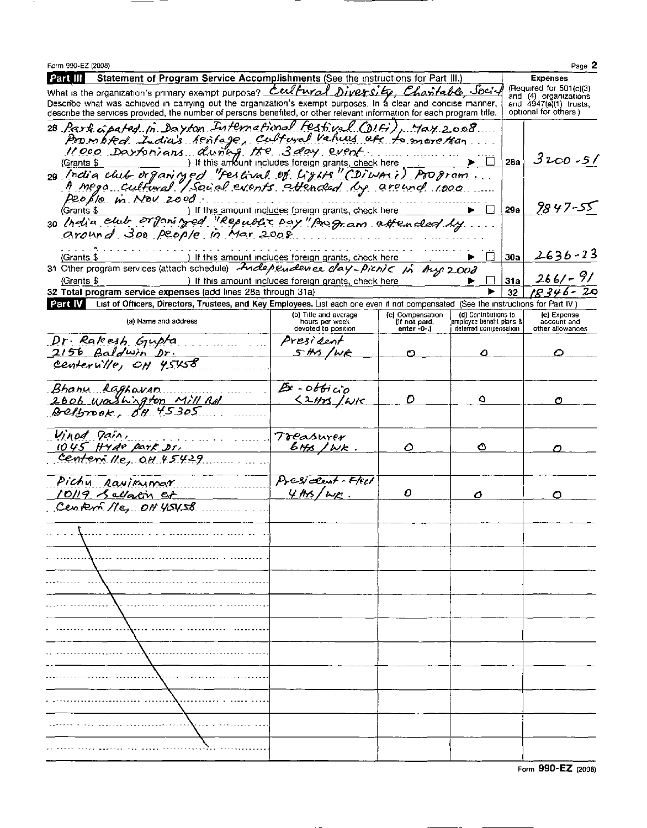| Form 990-EZ (2008)                                                                                                                                                                                                                                                                        |                                                      |                                   |                                                  |            | Page 2                     |  |  |
|-------------------------------------------------------------------------------------------------------------------------------------------------------------------------------------------------------------------------------------------------------------------------------------------|------------------------------------------------------|-----------------------------------|--------------------------------------------------|------------|----------------------------|--|--|
| Statement of Program Service Accomplishments (See the instructions for Part III.)<br>  Part III                                                                                                                                                                                           |                                                      |                                   |                                                  |            | <b>Expenses</b>            |  |  |
| (Required for $501(c)(3)$<br>What is the organization's primary exempt purpose? Cert Fural Diversity, Charitable Societ<br>and (4) organizations                                                                                                                                          |                                                      |                                   |                                                  |            |                            |  |  |
| Describe what was achieved in carrying out the organization's exempt purposes. In a clear and concise manner,<br>and 4947(a)(1) trusts.<br>optional for others)<br>describe the services provided, the number of persons benefited, or other relevant information for each program title. |                                                      |                                   |                                                  |            |                            |  |  |
| 28 Part apated in Dayton International Festival (DIFi), May 2008                                                                                                                                                                                                                          |                                                      |                                   |                                                  |            |                            |  |  |
| Prombted India's rentage, cultural values etc to more tran                                                                                                                                                                                                                                |                                                      |                                   |                                                  |            |                            |  |  |
| $11000$ Daysonians during the 3 day event.                                                                                                                                                                                                                                                |                                                      |                                   |                                                  |            | 3200 - 51                  |  |  |
| (Grants \$                                                                                                                                                                                                                                                                                |                                                      |                                   |                                                  | <b>28a</b> |                            |  |  |
| 29 India club organized "Festival of Lights" (Diwari) Program<br>A mega cultural / Social events attended by around 1000.                                                                                                                                                                 |                                                      |                                   |                                                  |            |                            |  |  |
| People in Nov 2000.                                                                                                                                                                                                                                                                       |                                                      |                                   |                                                  |            |                            |  |  |
|                                                                                                                                                                                                                                                                                           |                                                      |                                   | $\perp$                                          | 29a        | 9847-55                    |  |  |
| Grants \$ 1 If this amount includes foreign grants, check here <b>b</b><br>30 <i>helia club organityed</i> "Republic pay" poop. am aften clear ly                                                                                                                                         |                                                      |                                   |                                                  |            |                            |  |  |
| around 300 people in Mar 2008                                                                                                                                                                                                                                                             |                                                      |                                   |                                                  |            |                            |  |  |
|                                                                                                                                                                                                                                                                                           |                                                      |                                   |                                                  |            | $2636 - 23$                |  |  |
| (Grants \$<br>31 Other program services (attach schedule) Independence clay-picnic in Aug 2008                                                                                                                                                                                            | ) If this amount includes foreign grants, check here |                                   | $\pm$                                            | 30a        |                            |  |  |
| (Grants \$                                                                                                                                                                                                                                                                                | ) If this amount includes foreign grants, check here |                                   |                                                  | 31a        | $266/- 9/$                 |  |  |
| 32 Total program service expenses (add lines 28a through 31a)                                                                                                                                                                                                                             |                                                      |                                   |                                                  | 32         | 18346-20                   |  |  |
| Part IV List of Officers, Directors, Trustees, and Key Employees. List each one even if not compensated (See the instructions for Part IV)                                                                                                                                                |                                                      |                                   |                                                  |            |                            |  |  |
| (a) Name and address                                                                                                                                                                                                                                                                      | (b) Title and average<br>hours per week              | (c) Compensation<br>(if not paid, | (d) Contributions to<br>employee benefit plans & |            | (e) Expense<br>account and |  |  |
|                                                                                                                                                                                                                                                                                           | devoted to position                                  | enter -0-.)                       | deferred compensation                            |            | other allowances           |  |  |
| Dr. Rakesh Gupta                                                                                                                                                                                                                                                                          | President                                            |                                   |                                                  |            |                            |  |  |
| 2156 Baldwin Dr.                                                                                                                                                                                                                                                                          | 5 Hs/Wk                                              | O                                 | ٥                                                |            | Ο                          |  |  |
| centernille, OH 45458                                                                                                                                                                                                                                                                     |                                                      |                                   |                                                  |            |                            |  |  |
| Bhany Raghavan                                                                                                                                                                                                                                                                            | $B - 066$ ico                                        |                                   |                                                  |            |                            |  |  |
|                                                                                                                                                                                                                                                                                           | $521/3$ /WK                                          | Đ                                 | ٥                                                |            | Ο                          |  |  |
| 2606 Washington Mill Rd                                                                                                                                                                                                                                                                   |                                                      |                                   |                                                  |            |                            |  |  |
|                                                                                                                                                                                                                                                                                           |                                                      |                                   |                                                  |            |                            |  |  |
| Vinod Dain,                                                                                                                                                                                                                                                                               | <b>Treasurer</b>                                     |                                   |                                                  |            |                            |  |  |
| 1045 Hyde park Dr.<br>Centern $lle, OH. 45429$                                                                                                                                                                                                                                            | $6, 10k$ .                                           | Ο                                 | ◔                                                |            |                            |  |  |
|                                                                                                                                                                                                                                                                                           |                                                      |                                   |                                                  |            |                            |  |  |
| Pichy Ravikymar                                                                                                                                                                                                                                                                           | Desident-Hell                                        |                                   |                                                  |            |                            |  |  |
| 10/19 Sellatin et                                                                                                                                                                                                                                                                         | $4ms/\omega r$ .                                     | o                                 | ο                                                |            | O                          |  |  |
| Centern Ne, OH YOYSB                                                                                                                                                                                                                                                                      |                                                      |                                   |                                                  |            |                            |  |  |
|                                                                                                                                                                                                                                                                                           |                                                      |                                   |                                                  |            |                            |  |  |
|                                                                                                                                                                                                                                                                                           |                                                      |                                   |                                                  |            |                            |  |  |
|                                                                                                                                                                                                                                                                                           |                                                      |                                   |                                                  |            |                            |  |  |
|                                                                                                                                                                                                                                                                                           |                                                      |                                   |                                                  |            |                            |  |  |
|                                                                                                                                                                                                                                                                                           |                                                      |                                   |                                                  |            |                            |  |  |
|                                                                                                                                                                                                                                                                                           |                                                      |                                   |                                                  |            |                            |  |  |
|                                                                                                                                                                                                                                                                                           |                                                      |                                   |                                                  |            |                            |  |  |
|                                                                                                                                                                                                                                                                                           |                                                      |                                   |                                                  |            |                            |  |  |
|                                                                                                                                                                                                                                                                                           |                                                      |                                   |                                                  |            |                            |  |  |
|                                                                                                                                                                                                                                                                                           |                                                      |                                   |                                                  |            |                            |  |  |
|                                                                                                                                                                                                                                                                                           |                                                      |                                   |                                                  |            |                            |  |  |
|                                                                                                                                                                                                                                                                                           |                                                      |                                   |                                                  |            |                            |  |  |
|                                                                                                                                                                                                                                                                                           |                                                      |                                   |                                                  |            |                            |  |  |
|                                                                                                                                                                                                                                                                                           |                                                      |                                   |                                                  |            |                            |  |  |
|                                                                                                                                                                                                                                                                                           |                                                      |                                   |                                                  |            |                            |  |  |
|                                                                                                                                                                                                                                                                                           |                                                      |                                   |                                                  |            |                            |  |  |
|                                                                                                                                                                                                                                                                                           |                                                      |                                   |                                                  |            |                            |  |  |

╼

 $\sim$   $-$ 

 $\overline{\phantom{a}}$   $\overline{\phantom{a}}$ 

Form 990-EZ (2008)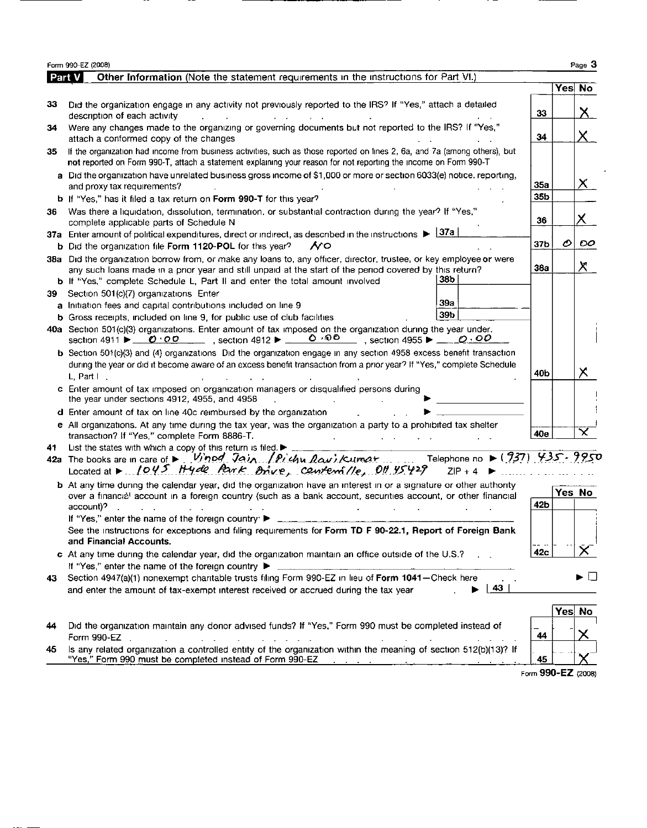|     | Form 990-EZ (2008)                                                                                                                                                                                                                                                                                                |                          |        | Page 3         |
|-----|-------------------------------------------------------------------------------------------------------------------------------------------------------------------------------------------------------------------------------------------------------------------------------------------------------------------|--------------------------|--------|----------------|
|     | Part V<br>Other Information (Note the statement requirements in the instructions for Part VI.)                                                                                                                                                                                                                    |                          |        |                |
|     |                                                                                                                                                                                                                                                                                                                   |                          | Yes No |                |
| 33  | Did the organization engage in any activity not previously reported to the IRS? If "Yes," attach a detailed<br>description of each activity<br><b>Contract Contract</b>                                                                                                                                           | 33                       |        | X              |
| 34  | Were any changes made to the organizing or governing documents but not reported to the IRS? If "Yes,"<br>attach a conformed copy of the changes                                                                                                                                                                   | 34                       |        | $\times$ .     |
| 35  | If the organization had income from business activities, such as those reported on lines 2, 6a, and 7a (among others), but<br>not reported on Form 990-T, attach a statement explaining your reason for not reporting the income on Form 990-T                                                                    |                          |        |                |
|     | a Did the organization have unrelated business gross income of \$1,000 or more or section 6033(e) notice, reporting,<br>and proxy tax requirements?                                                                                                                                                               | <b>35a</b>               |        | $\times$       |
|     | b If "Yes," has it filed a tax return on Form 990-T for this year?                                                                                                                                                                                                                                                | 35b                      |        |                |
| 36  | Was there a liquidation, dissolution, termination, or substantial contraction during the year? If "Yes,"<br>complete applicable parts of Schedule N                                                                                                                                                               | 36                       |        | X.             |
|     | 37a Enter amount of political expenditures, direct or indirect, as described in the instructions $\blacktriangleright$ $\frac{ 37a }{ 37a }$<br><b>b</b> Did the organization file Form 1120-POL for this year?<br>7 O                                                                                            | 37b                      | O      | OO.            |
| 38a | Did the organization borrow from, or make any loans to, any officer, director, trustee, or key employee or were<br>any such loans made in a prior year and still unpaid at the start of the period covered by this return?<br>38b<br>b If "Yes," complete Schedule L, Part II and enter the total amount involved | 38a                      |        | Х              |
| 39  | Section 501(c)(7) organizations Enter                                                                                                                                                                                                                                                                             |                          |        |                |
|     | 39а<br>a Initiation fees and capital contributions included on line 9                                                                                                                                                                                                                                             |                          |        |                |
|     | 39b<br><b>b</b> Gross receipts, included on line 9, for public use of club facilities                                                                                                                                                                                                                             |                          |        |                |
|     | 40a Section 501(c)(3) organizations. Enter amount of tax imposed on the organization during the year under.<br>ი ∘იი<br>section 4911 $\blacktriangleright$ $\emptyset$ '00                                                                                                                                        |                          |        |                |
|     | <b>b</b> Section 501(c)(3) and (4) organizations Did the organization engage in any section 4958 excess benefit transaction                                                                                                                                                                                       |                          |        |                |
|     | during the year or did it become aware of an excess benefit transaction from a prior year? If "Yes," complete Schedule<br>L. Part $\vdash$ .                                                                                                                                                                      | 40b                      |        | Х              |
|     | c Enter amount of tax imposed on organization managers or disqualified persons during<br>the year under sections 4912, 4955, and 4958                                                                                                                                                                             |                          |        |                |
|     | d Enter amount of tax on line 40c reimbursed by the organization                                                                                                                                                                                                                                                  |                          |        |                |
|     | e All organizations. At any time during the tax year, was the organization a party to a prohibited tax shelter<br>transaction? If "Yes," complete Form 8886-T.                                                                                                                                                    | 40e                      |        | $\pmb{\times}$ |
| 41  | List the states with which a copy of this return is filed. $\blacktriangleright$                                                                                                                                                                                                                                  |                          |        |                |
|     | 42a The books are in care of > Vinod Jain / Pichu Rawi Kumar Telephone no > (937) 435.9950<br>Located at > $1045$ Hyde Park Brive, centerille, 0H 45429<br>$ZIP + 4$                                                                                                                                              | $\mathbf{L}$ . The state |        |                |
|     | <b>b</b> At any time during the calendar year, did the organization have an interest in or a signature or other authority                                                                                                                                                                                         |                          |        |                |
|     | over a financial account in a foreign country (such as a bank account, securities account, or other financial                                                                                                                                                                                                     | 42b                      | Yes No |                |
|     | account)?                                                                                                                                                                                                                                                                                                         |                          |        |                |
|     | If "Yes," enter the name of the foreign country ▶<br>See the instructions for exceptions and filing requirements for Form TD F 90-22.1, Report of Foreign Bank<br>and Financial Accounts.                                                                                                                         |                          |        |                |
|     | c At any time during the calendar year, did the organization maintain an office outside of the U.S.?                                                                                                                                                                                                              | .<br>42c                 |        |                |
|     | If "Yes," enter the name of the foreign country $\blacktriangleright$                                                                                                                                                                                                                                             |                          |        |                |
| 43  | Section 4947(a)(1) nonexempt charitable trusts filing Form 990-EZ in lieu of Form 1041-Check here                                                                                                                                                                                                                 |                          |        | ▶□             |
|     | 43<br>and enter the amount of tax-exempt interest received or accrued during the tax year                                                                                                                                                                                                                         |                          |        |                |
|     |                                                                                                                                                                                                                                                                                                                   |                          | Yes No |                |
| 44  | Did the organization maintain any donor advised funds? If "Yes," Form 990 must be completed instead of<br>Form 990-EZ                                                                                                                                                                                             | 44                       |        |                |
| 45  | Is any related organization a controlled entity of the organization within the meaning of section 512(b)(13)? If<br>"Yes," Form 990 must be completed instead of Form 990-EZ                                                                                                                                      | 45                       |        |                |

--

Form 990-EZ (2008)

 $\cdot$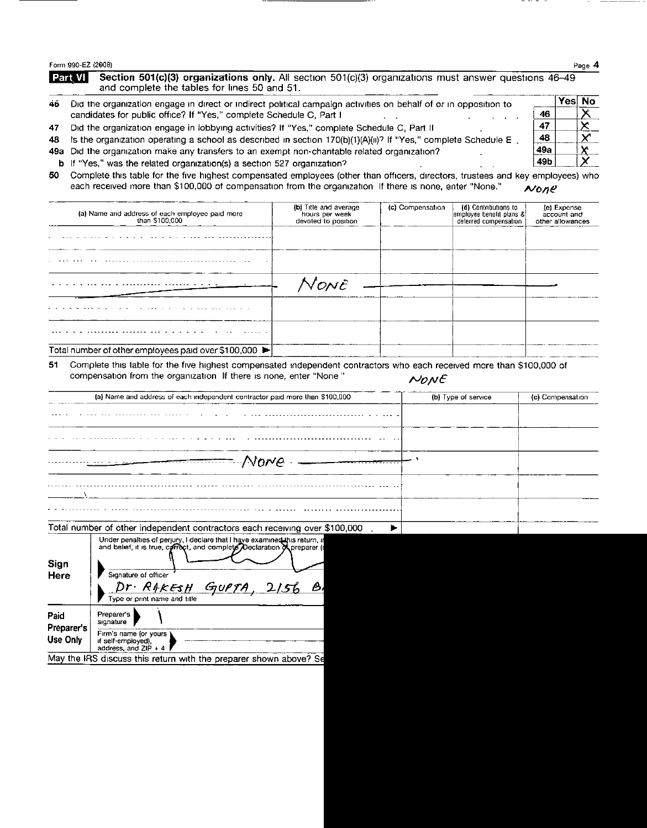Form 990-EZ ( 2008) Page 4

Section 501(c)(3) organizations only. All section 501(c)(3) organizations must answer questions 46-49 Part VI and complete the tables for lines 50 and 51.

- 46 Did the organization engage in direct or indirect political campaign activities on behalf of or in opposition to  $\frac{\text{Yes No}}{\text{Ans}}$ candidates for public office? If "Yes," complete Schedule C, Part <sup>I</sup> . . . . . 46
- 47 Did the organization engage in lobbying activities? If "Yes," complete Schedule C, Part II  $\frac{47}{48}$ <br>48 Is the organization operating a school as described in section 170(b)(1)(4)(ii)? If "Yes," complete Schedule E
- 48 Is the organization operating a school as described in section 170(b)(1)(A)(ii)? If "Yes," complete Schedule E . 48<br>49a Did the organization make any transfers to an exempt non-chantable related organization?
- 49a Did the organization make any transfers to an exempt non-chantable related organization?<br> **49b** If "Yes." was the related organization(s) a section 527 organization?
- b If "Yes," was the related organization(s) a section 527 organization?
- 50 Complete this table for the five highest compensated employees (other than officers, directors, trustees and key employees) who each received more than \$100,000 of compensation from the organization If there is none, enter "None."  $N_0n$ e

|    | (a) Name and address of each employee paid more<br>than \$100,000                                                                                                                          | (b) Title and average<br>hours per week<br>devoted to position | (c) Compensation    | (d) Contributions to<br>employee benefit plans &<br>deferred compensation | (e) Expense<br>account and<br>other allowances |
|----|--------------------------------------------------------------------------------------------------------------------------------------------------------------------------------------------|----------------------------------------------------------------|---------------------|---------------------------------------------------------------------------|------------------------------------------------|
|    |                                                                                                                                                                                            |                                                                |                     |                                                                           |                                                |
|    |                                                                                                                                                                                            |                                                                |                     |                                                                           |                                                |
|    |                                                                                                                                                                                            | None                                                           |                     |                                                                           |                                                |
|    |                                                                                                                                                                                            |                                                                |                     |                                                                           |                                                |
|    |                                                                                                                                                                                            |                                                                |                     |                                                                           |                                                |
|    | Total number of other employees paid over $$100,000$ $\blacktriangleright$                                                                                                                 |                                                                |                     |                                                                           |                                                |
| 51 | Complete this table for the five highest compensated independent contractors who each received more than \$100,000 of<br>compensation from the organization If there is none, enter "None" |                                                                | $N$ <sub>O</sub> NE |                                                                           |                                                |
|    | (a) Name and address of each independent contractor paid more than \$100,000                                                                                                               |                                                                |                     | (b) Type of service                                                       | (c) Compensation                               |
|    |                                                                                                                                                                                            |                                                                |                     |                                                                           |                                                |
|    |                                                                                                                                                                                            |                                                                |                     |                                                                           |                                                |
|    |                                                                                                                                                                                            | - Norre - <del>- - - - - - - -</del>                           |                     |                                                                           |                                                |

|              | Total number of other independent contractors each receiving over \$100,000                                                                                                                                                                  |  |
|--------------|----------------------------------------------------------------------------------------------------------------------------------------------------------------------------------------------------------------------------------------------|--|
| Sign<br>Here | Under penalties of perjury, I declare that I have examined this return, in and belief, it is true, correct, and complete Declaration of preparer (<br>Signature of officer<br>Dr. RAKESH GUPTA, 2156<br>் த,<br>Type or print name and title |  |

|                      | Type or print name and title                                           |
|----------------------|------------------------------------------------------------------------|
| Paid<br>Preparer's I | Preparer's<br>signature                                                |
| Use Only             | Firm's name (or yours ).<br>if self-employed),<br>oddrope and 710 L.A. |

May the IRS discuss this return with the preparer shown above? Se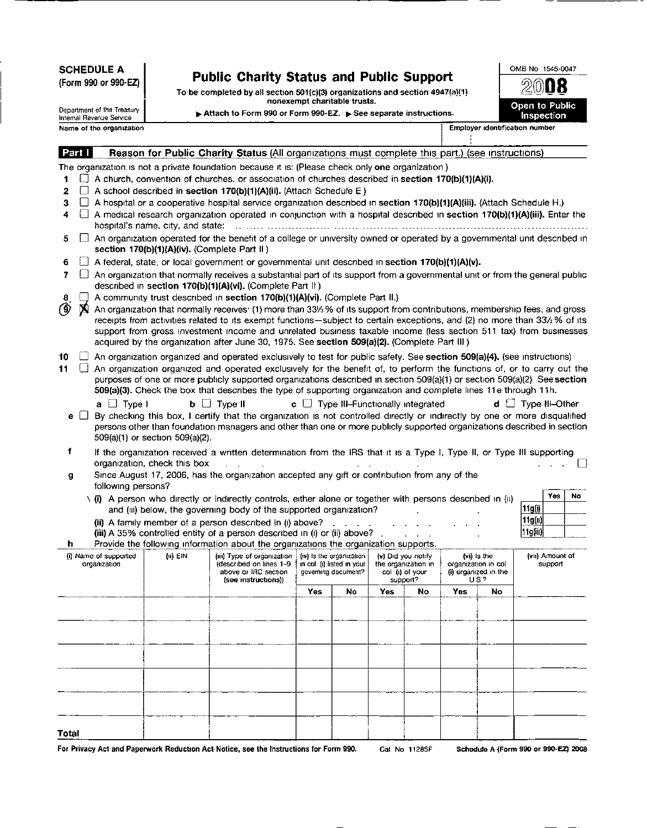SCHEDULE A

(Form 990 or 990-EZ)

## Public Charity Status and Public Support

To be completed by all section 501(c)(3) organizations and section 4947(a)(1) nonexempt charitable trusts.

| OMB No 1545-0047      |
|-----------------------|
| 2008                  |
|                       |
| <b>Open to Public</b> |
| Inspection            |
|                       |

Department of the Treasury Internal Revenue Service Name of the organization **Employer identification** number

► Attach to Form 990 or Form 990-EZ. ► See separate instructions.

Reason for Public Charity Status (All organizations must complete this part.) (see instructions) Part I The organization is not a private foundation because it is: (Please check only one organization) 1  $\Box$  A church, convention of churches. or association of churches described in section 170(b)(1)(A)(i). 2  $\Box$  A school described in section 170(b)(1)(A)(ii). (Attach Schedule E) 3  $\Box$  A hospital or a cooperative hospital service organization described in section 170(b)(1)(A)(iii). (Attach Schedule H.) 4  $\Box$  A medical research organization operated in conjunction with a hospital described in section 170(b)(1)(A)(iii). Enter the hospital's name, city, and state- -- ----- ------------------ ------- ---------- ----------------------------------------------------  $5 \Box$  An organization operated for the benefit of a college or university owned or operated by a governmental unit described in section 170(b)(1)(A)(iv). (Complete Part II) 6  $\Box$  A federal, state, or local government or governmental unit described in section 170(b)(1)(A)(v).  $7 \Box$  An organization that normally receives a substantial part of its support from a governmental unit or from the general public described in section 170(b)(1)(A)(vi). (Complete Part II) 8  $\Box$  A community trust described in section 170(b)(1)(A)(vi). (Complete Part II.)  $\circledcirc$  **X** An organization that normally receives: (1) more than 33% % of its support from An organization that normally receives- (1) more than <sup>33</sup>'/3 % of its support from contributions, membership fees, and gross receipts from activities related to its exempt functions-subject to certain exceptions, and (2) no more than 33% % of its support from gross investment income and unrelated business taxable income (less section 511 tax) from businesses acquired by the organization after June 30, 1975. See section 509(a)(2). (Complete Part III)  $10$   $\Box$  An organization organized and operated exclusively to test for public safety. See section 509(a)(4). (see instructions) 11  $\Box$  An organization organized and operated exclusively for the benefit of, to perform the functions of, or to carry out the purposes of one or more publicly supported organizations described in section 509(a)(1) or section 509(a)(2) See section 509(a)(3). Check the box that describes the type of supporting organization and complete lines 11e through 11h. **a**  $\Box$  Type I **b**  $\Box$  Type II **c**  $\Box$  Type III-Functionally integrated **d**  $\Box$  Type III-Other e  $\Box$  By checking this box, I certify that the organization is not controlled directly or indirectly by one or more disqualified persons other than foundation managers and other than one or more publicly supported organizations described in section 509(a)(1) or section 509(a)(2). <sup>f</sup> If the organization received a written determination from the IRS that it is a Type I, Type II, or Type III supporting organization, check this box . . . . . . . q g Since August 17, 2006, has the organization accepted any gift or contribution from any of the following persons?  $\langle$  (i) A person who directly or indirectly controls, either alone or together with persons described in (ii)  $\frac{Yes}{|11g(i)|}$  Yes No and (III) below, the governing body of the supported organization? (ii) A family member of a person described in (I) above? . . . . . . . . . , . 11g(II) (iii) A 35% controlled entity of a person described in  $(i)$  or  $(ii)$  above? h Provide the following information about the organizations the organization supports. (1) Name of supported (iii)  $EIN$  (iiii) Type of organization (iv) Is the organization (v) Did you notify (vi) Is the (vii) Amount of organization (described on lines 1-9 in col (i) listed in your the organization in organization in col support above or IRC section governing document? col (i) of your (i) organized in the (see instructions)) US? support? Yes | No | Yes | No | Yes | No Total

For Privacy Act and Paperwork Reduction Act Notice, see the Instructions for Form 990. Cat No 11285F Schedule A (Form 990 or 990-EZ) 2008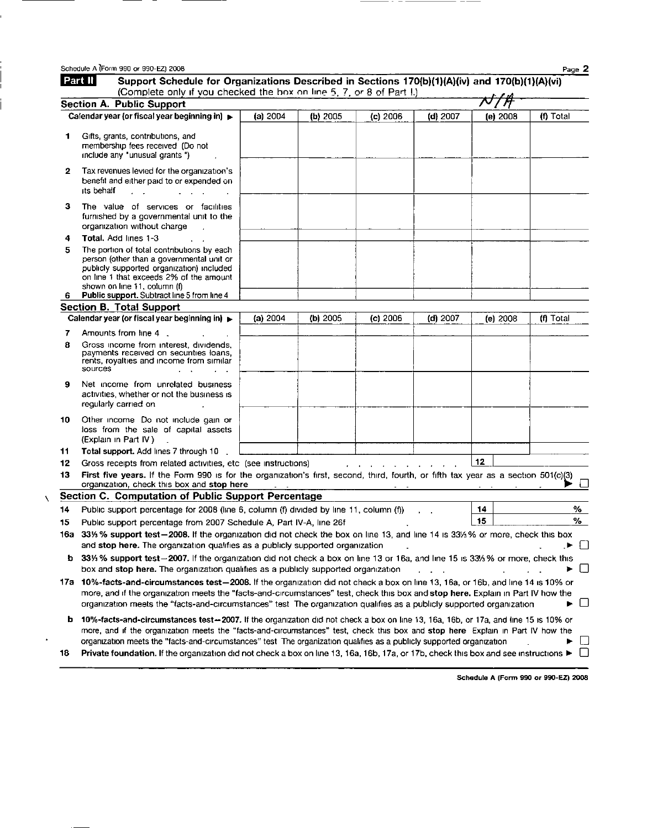| Schedule A (Form 990 or 990-EZ) 2008                                                                                                                                                                                                                                                                                                                                                                      |                                                                                                                                                                                                                                                                       |                                                        |                                                                                                                                                                                                          |                                                                                                                                                                                                                                                                            |                                                                                  | Page 2                                                                                                                                                                                                                                                                                                                                                                                                                                                                                                                                                                                                                                                                                                                                                                                                                                                                                                                                                                                                                                                                                                                  |
|-----------------------------------------------------------------------------------------------------------------------------------------------------------------------------------------------------------------------------------------------------------------------------------------------------------------------------------------------------------------------------------------------------------|-----------------------------------------------------------------------------------------------------------------------------------------------------------------------------------------------------------------------------------------------------------------------|--------------------------------------------------------|----------------------------------------------------------------------------------------------------------------------------------------------------------------------------------------------------------|----------------------------------------------------------------------------------------------------------------------------------------------------------------------------------------------------------------------------------------------------------------------------|----------------------------------------------------------------------------------|-------------------------------------------------------------------------------------------------------------------------------------------------------------------------------------------------------------------------------------------------------------------------------------------------------------------------------------------------------------------------------------------------------------------------------------------------------------------------------------------------------------------------------------------------------------------------------------------------------------------------------------------------------------------------------------------------------------------------------------------------------------------------------------------------------------------------------------------------------------------------------------------------------------------------------------------------------------------------------------------------------------------------------------------------------------------------------------------------------------------------|
|                                                                                                                                                                                                                                                                                                                                                                                                           |                                                                                                                                                                                                                                                                       |                                                        |                                                                                                                                                                                                          |                                                                                                                                                                                                                                                                            |                                                                                  |                                                                                                                                                                                                                                                                                                                                                                                                                                                                                                                                                                                                                                                                                                                                                                                                                                                                                                                                                                                                                                                                                                                         |
|                                                                                                                                                                                                                                                                                                                                                                                                           |                                                                                                                                                                                                                                                                       |                                                        |                                                                                                                                                                                                          |                                                                                                                                                                                                                                                                            |                                                                                  |                                                                                                                                                                                                                                                                                                                                                                                                                                                                                                                                                                                                                                                                                                                                                                                                                                                                                                                                                                                                                                                                                                                         |
|                                                                                                                                                                                                                                                                                                                                                                                                           | (a) $2004$                                                                                                                                                                                                                                                            | (b) 2005                                               | $(c)$ 2006                                                                                                                                                                                               | (d) 2007                                                                                                                                                                                                                                                                   | (e) 2008                                                                         | (f) Total                                                                                                                                                                                                                                                                                                                                                                                                                                                                                                                                                                                                                                                                                                                                                                                                                                                                                                                                                                                                                                                                                                               |
| Gifts, grants, contributions, and<br>membership fees received (Do not<br>include any "unusual grants")                                                                                                                                                                                                                                                                                                    |                                                                                                                                                                                                                                                                       |                                                        |                                                                                                                                                                                                          |                                                                                                                                                                                                                                                                            |                                                                                  |                                                                                                                                                                                                                                                                                                                                                                                                                                                                                                                                                                                                                                                                                                                                                                                                                                                                                                                                                                                                                                                                                                                         |
| Tax revenues levied for the organization's<br>benefit and either paid to or expended on<br>its behalf                                                                                                                                                                                                                                                                                                     |                                                                                                                                                                                                                                                                       |                                                        |                                                                                                                                                                                                          |                                                                                                                                                                                                                                                                            |                                                                                  |                                                                                                                                                                                                                                                                                                                                                                                                                                                                                                                                                                                                                                                                                                                                                                                                                                                                                                                                                                                                                                                                                                                         |
| The value of services or facilities<br>furnished by a governmental unit to the<br>organization without charge                                                                                                                                                                                                                                                                                             |                                                                                                                                                                                                                                                                       |                                                        |                                                                                                                                                                                                          |                                                                                                                                                                                                                                                                            |                                                                                  |                                                                                                                                                                                                                                                                                                                                                                                                                                                                                                                                                                                                                                                                                                                                                                                                                                                                                                                                                                                                                                                                                                                         |
| Total, Add lines 1-3                                                                                                                                                                                                                                                                                                                                                                                      |                                                                                                                                                                                                                                                                       |                                                        |                                                                                                                                                                                                          |                                                                                                                                                                                                                                                                            |                                                                                  |                                                                                                                                                                                                                                                                                                                                                                                                                                                                                                                                                                                                                                                                                                                                                                                                                                                                                                                                                                                                                                                                                                                         |
| The portion of total contributions by each<br>person (other than a governmental unit or<br>publicly supported organization) included<br>on line 1 that exceeds 2% of the amount<br>shown on line 11, column (f)                                                                                                                                                                                           |                                                                                                                                                                                                                                                                       |                                                        |                                                                                                                                                                                                          |                                                                                                                                                                                                                                                                            |                                                                                  |                                                                                                                                                                                                                                                                                                                                                                                                                                                                                                                                                                                                                                                                                                                                                                                                                                                                                                                                                                                                                                                                                                                         |
|                                                                                                                                                                                                                                                                                                                                                                                                           |                                                                                                                                                                                                                                                                       |                                                        |                                                                                                                                                                                                          |                                                                                                                                                                                                                                                                            |                                                                                  |                                                                                                                                                                                                                                                                                                                                                                                                                                                                                                                                                                                                                                                                                                                                                                                                                                                                                                                                                                                                                                                                                                                         |
|                                                                                                                                                                                                                                                                                                                                                                                                           |                                                                                                                                                                                                                                                                       |                                                        |                                                                                                                                                                                                          |                                                                                                                                                                                                                                                                            |                                                                                  | (f) Total                                                                                                                                                                                                                                                                                                                                                                                                                                                                                                                                                                                                                                                                                                                                                                                                                                                                                                                                                                                                                                                                                                               |
|                                                                                                                                                                                                                                                                                                                                                                                                           |                                                                                                                                                                                                                                                                       |                                                        |                                                                                                                                                                                                          |                                                                                                                                                                                                                                                                            |                                                                                  |                                                                                                                                                                                                                                                                                                                                                                                                                                                                                                                                                                                                                                                                                                                                                                                                                                                                                                                                                                                                                                                                                                                         |
| Gross income from interest, dividends,<br>payments received on securities loans,<br>rents, royalties and income from similar<br>sources                                                                                                                                                                                                                                                                   |                                                                                                                                                                                                                                                                       |                                                        |                                                                                                                                                                                                          |                                                                                                                                                                                                                                                                            |                                                                                  |                                                                                                                                                                                                                                                                                                                                                                                                                                                                                                                                                                                                                                                                                                                                                                                                                                                                                                                                                                                                                                                                                                                         |
| Net income from unrelated business<br>activities, whether or not the business is<br>regularly carried on                                                                                                                                                                                                                                                                                                  |                                                                                                                                                                                                                                                                       |                                                        |                                                                                                                                                                                                          |                                                                                                                                                                                                                                                                            |                                                                                  |                                                                                                                                                                                                                                                                                                                                                                                                                                                                                                                                                                                                                                                                                                                                                                                                                                                                                                                                                                                                                                                                                                                         |
| Other income Do not include gain or<br>loss from the sale of capital assets<br>(Explain in Part IV)                                                                                                                                                                                                                                                                                                       |                                                                                                                                                                                                                                                                       |                                                        |                                                                                                                                                                                                          |                                                                                                                                                                                                                                                                            |                                                                                  |                                                                                                                                                                                                                                                                                                                                                                                                                                                                                                                                                                                                                                                                                                                                                                                                                                                                                                                                                                                                                                                                                                                         |
| Total support. Add lines 7 through 10                                                                                                                                                                                                                                                                                                                                                                     |                                                                                                                                                                                                                                                                       |                                                        |                                                                                                                                                                                                          |                                                                                                                                                                                                                                                                            |                                                                                  |                                                                                                                                                                                                                                                                                                                                                                                                                                                                                                                                                                                                                                                                                                                                                                                                                                                                                                                                                                                                                                                                                                                         |
|                                                                                                                                                                                                                                                                                                                                                                                                           |                                                                                                                                                                                                                                                                       |                                                        |                                                                                                                                                                                                          |                                                                                                                                                                                                                                                                            |                                                                                  |                                                                                                                                                                                                                                                                                                                                                                                                                                                                                                                                                                                                                                                                                                                                                                                                                                                                                                                                                                                                                                                                                                                         |
|                                                                                                                                                                                                                                                                                                                                                                                                           |                                                                                                                                                                                                                                                                       |                                                        |                                                                                                                                                                                                          |                                                                                                                                                                                                                                                                            |                                                                                  |                                                                                                                                                                                                                                                                                                                                                                                                                                                                                                                                                                                                                                                                                                                                                                                                                                                                                                                                                                                                                                                                                                                         |
|                                                                                                                                                                                                                                                                                                                                                                                                           |                                                                                                                                                                                                                                                                       |                                                        |                                                                                                                                                                                                          |                                                                                                                                                                                                                                                                            |                                                                                  |                                                                                                                                                                                                                                                                                                                                                                                                                                                                                                                                                                                                                                                                                                                                                                                                                                                                                                                                                                                                                                                                                                                         |
|                                                                                                                                                                                                                                                                                                                                                                                                           |                                                                                                                                                                                                                                                                       |                                                        |                                                                                                                                                                                                          |                                                                                                                                                                                                                                                                            |                                                                                  | %                                                                                                                                                                                                                                                                                                                                                                                                                                                                                                                                                                                                                                                                                                                                                                                                                                                                                                                                                                                                                                                                                                                       |
|                                                                                                                                                                                                                                                                                                                                                                                                           |                                                                                                                                                                                                                                                                       |                                                        |                                                                                                                                                                                                          |                                                                                                                                                                                                                                                                            |                                                                                  | %                                                                                                                                                                                                                                                                                                                                                                                                                                                                                                                                                                                                                                                                                                                                                                                                                                                                                                                                                                                                                                                                                                                       |
|                                                                                                                                                                                                                                                                                                                                                                                                           |                                                                                                                                                                                                                                                                       |                                                        |                                                                                                                                                                                                          |                                                                                                                                                                                                                                                                            |                                                                                  |                                                                                                                                                                                                                                                                                                                                                                                                                                                                                                                                                                                                                                                                                                                                                                                                                                                                                                                                                                                                                                                                                                                         |
|                                                                                                                                                                                                                                                                                                                                                                                                           |                                                                                                                                                                                                                                                                       |                                                        |                                                                                                                                                                                                          |                                                                                                                                                                                                                                                                            |                                                                                  | $\Box$                                                                                                                                                                                                                                                                                                                                                                                                                                                                                                                                                                                                                                                                                                                                                                                                                                                                                                                                                                                                                                                                                                                  |
|                                                                                                                                                                                                                                                                                                                                                                                                           |                                                                                                                                                                                                                                                                       |                                                        |                                                                                                                                                                                                          |                                                                                                                                                                                                                                                                            |                                                                                  |                                                                                                                                                                                                                                                                                                                                                                                                                                                                                                                                                                                                                                                                                                                                                                                                                                                                                                                                                                                                                                                                                                                         |
| 17a 10%-facts-and-circumstances test-2008. If the organization did not check a box on line 13, 16a, or 16b, and line 14 is 10% or<br>more, and if the organization meets the "facts-and-circumstances" test, check this box and stop here. Explain in Part IV how the<br>$\Box$<br>organization meets the "facts-and-circumstances" test. The organization qualifies as a publicly supported organization |                                                                                                                                                                                                                                                                       |                                                        |                                                                                                                                                                                                          |                                                                                                                                                                                                                                                                            |                                                                                  |                                                                                                                                                                                                                                                                                                                                                                                                                                                                                                                                                                                                                                                                                                                                                                                                                                                                                                                                                                                                                                                                                                                         |
|                                                                                                                                                                                                                                                                                                                                                                                                           |                                                                                                                                                                                                                                                                       |                                                        |                                                                                                                                                                                                          |                                                                                                                                                                                                                                                                            |                                                                                  |                                                                                                                                                                                                                                                                                                                                                                                                                                                                                                                                                                                                                                                                                                                                                                                                                                                                                                                                                                                                                                                                                                                         |
|                                                                                                                                                                                                                                                                                                                                                                                                           | Part II<br>Section A. Public Support<br>Calendar year (or fiscal year beginning in) ►<br>Public support. Subtract line 5 from line 4<br>Section B. Total Support<br>Calendar year (or fiscal year beginning in) $\blacktriangleright$<br>Amounts from line 4<br>16а — | (a) 2004<br>organization, check this box and stop here | (b) 2005<br>Gross receipts from related activities, etc (see instructions)<br>Section C. Computation of Public Support Percentage<br>Public support percentage from 2007 Schedule A, Part IV-A, line 26f | (c) 2006<br>Public support percentage for 2008 (line 6, column (f) divided by line 11, column (f))<br>and stop here. The organization qualifies as a publicly supported organization<br>box and stop here. The organization qualifies as a publicly supported organization | (Complete only if you checked the box on line 5, 7, or 8 of Part I.)<br>(d) 2007 | Support Schedule for Organizations Described in Sections 170(b)(1)(A)(iv) and 170(b)(1)(A)(vi)<br>$(e)$ 2008<br>12<br>First five years. If the Form 990 is for the organization's first, second, third, fourth, or fifth tax year as a section 501(c)(3)<br>14<br>15<br>33% % support test-2008. If the organization did not check the box on line 13, and line 14 is 33% % or more, check this box<br><b>b</b> 33% % support test-2007. If the organization did not check a box on line 13 or 16a, and line 15 is 33% % or more, check this<br>10%-facts-and-circumstances test-2007. If the organization did not check a box on line 13, 16a, 16b, or 17a, and line 15 is 10% or<br>more, and if the organization meets the "facts-and-circumstances" test, check this box and stop here Explain in Part IV how the<br>organization meets the "facts-and-circumstances" test. The organization qualifies as a publicly supported organization<br><b>Private foundation.</b> If the organization did not check a box on line 13, 16a, 16b, 17a, or 17b, check this box and see instructions $\blacktriangleright \Box$ |

 $\bar{\chi}$ 

 $\cdot$ 

Schedule A (Form 990 or 990-EZ) 2008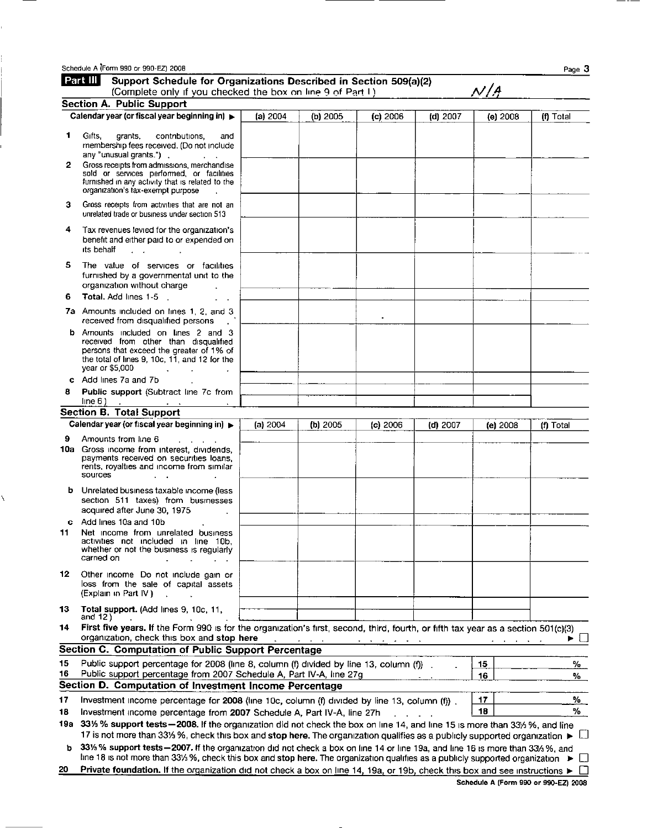|     | Schedule A (Form 990 or 990-EZ) 2008                                                                                                                                                                                                                                            |          |          |                                   |            |                           |                    | Page 3      |
|-----|---------------------------------------------------------------------------------------------------------------------------------------------------------------------------------------------------------------------------------------------------------------------------------|----------|----------|-----------------------------------|------------|---------------------------|--------------------|-------------|
|     | Part III<br>Support Schedule for Organizations Described in Section 509(a)(2)<br>(Complete only if you checked the box on line 9 of Part I)                                                                                                                                     |          |          |                                   |            | $\mathcal{N}/\mathcal{A}$ |                    |             |
|     | Section A. Public Support                                                                                                                                                                                                                                                       |          |          |                                   |            |                           |                    |             |
|     | Calendar year (or fiscal year beginning in)                                                                                                                                                                                                                                     | (a) 2004 | (b) 2005 | (c) 2006                          | $(d)$ 2007 |                           | (e) 2008           | (f) Total   |
| 1   | Cifts,<br>grants,<br>contributions,<br>and<br>membership fees received. (Do not include<br>any "unusual grants.").                                                                                                                                                              |          |          |                                   |            |                           |                    |             |
| 2   | Gross receipts from admissions, merchandise<br>sold or services performed, or facilities<br>furnished in any activity that is related to the<br>organization's tax-exempt purpose                                                                                               |          |          |                                   |            |                           |                    |             |
| з   | Gross receipts from activities that are not an<br>unrelated trade or business under section 513                                                                                                                                                                                 |          |          |                                   |            |                           |                    |             |
| 4   | Tax revenues levied for the organization's<br>benefit and either paid to or expended on<br>its behalf<br>$\mathbf{r} = \mathbf{r}$                                                                                                                                              |          |          |                                   |            |                           |                    |             |
| 5   | The value of services or facilities<br>furnished by a governmental unit to the<br>organization without charge                                                                                                                                                                   |          |          |                                   |            |                           |                    |             |
| 6   | Total. Add lines 1-5                                                                                                                                                                                                                                                            |          |          |                                   |            |                           |                    |             |
|     | 7a Amounts included on lines 1, 2, and 3<br>$\sim 10^8$<br>received from disqualified persons                                                                                                                                                                                   |          |          |                                   |            |                           |                    |             |
| b   | Amounts included on lines 2 and 3<br>received from other than disqualified<br>persons that exceed the greater of 1% of<br>the total of lines 9, 10c, 11, and 12 for the<br>year or \$5,000<br><b>Contract</b>                                                                   |          |          |                                   |            |                           |                    |             |
| c   | Add lines 7a and 7b                                                                                                                                                                                                                                                             |          |          |                                   |            |                           |                    |             |
| 8   | Public support (Subtract line 7c from<br>line 6)                                                                                                                                                                                                                                |          |          |                                   |            |                           |                    |             |
|     | Section B. Total Support                                                                                                                                                                                                                                                        |          |          |                                   |            |                           |                    |             |
|     | Calendar year (or fiscal year beginning in) ▶                                                                                                                                                                                                                                   | (a) 2004 | (b) 2005 | $(c)$ 2006                        | $(d)$ 2007 |                           | (e) 2008           | (f) Total   |
| 9   | Amounts from line 6<br>10a Gross income from interest, dividends,<br>payments received on securities loans,<br>rents, royalties and income from similar<br>sources                                                                                                              |          |          |                                   |            |                           |                    |             |
|     | <b>b</b> Unrelated business taxable income (less<br>section 511 taxes) from businesses<br>acquired after June 30, 1975                                                                                                                                                          |          |          |                                   |            |                           |                    |             |
| 11. | c Add lines 10a and 10b<br>Net income from unrelated business<br>activities not included in line 10b,<br>whether or not the business is regularly<br>carried on                                                                                                                 |          |          |                                   |            |                           |                    |             |
| 12  | Other income Do not include gain or<br>loss from the sale of capital assets<br>(Explain in Part IV)                                                                                                                                                                             |          |          |                                   |            |                           |                    |             |
| 13  | Total support. (Add lines 9, 10c, 11,<br>and 12)                                                                                                                                                                                                                                |          |          |                                   |            |                           |                    |             |
| 14  | First five years. If the Form 990 is for the organization's first, second, third, fourth, or fifth tax year as a section 501(c)(3)<br>organization, check this box and stop here                                                                                                |          |          | and a series of the series of the | $\sim$     |                           | <b>All Angeles</b> | $\Box$<br>► |
|     | Section C. Computation of Public Support Percentage                                                                                                                                                                                                                             |          |          |                                   |            |                           |                    |             |
| 15  | Public support percentage for 2008 (line 8, column (f) divided by line 13, column (f)).                                                                                                                                                                                         |          |          |                                   |            | 15                        |                    | %.          |
| 16  | Public support percentage from 2007 Schedule A, Part IV-A, line 27g                                                                                                                                                                                                             |          |          |                                   |            | 16                        |                    | %           |
|     | Section D. Computation of Investment Income Percentage                                                                                                                                                                                                                          |          |          |                                   |            |                           |                    |             |
| 17  | Investment income percentage for 2008 (line 10c, column (f) divided by line 13, column (f)).                                                                                                                                                                                    |          |          |                                   |            | 17                        |                    | %.          |
| 18  | Investment income percentage from 2007 Schedule A, Part IV-A, line 27h                                                                                                                                                                                                          |          |          |                                   |            | 18                        |                    | %           |
|     | 19a 33% % support tests - 2008. If the organization did not check the box on line 14, and line 15 is more than 33% %, and line                                                                                                                                                  |          |          |                                   |            |                           |                    |             |
| ь   | 17 is not more than 33% %, check this box and stop here. The organization qualifies as a publicly supported organization $\blacktriangleright$<br>33% % support tests-2007. If the organization did not check a box on line 14 or line 19a, and line 16 is more than 33% %, and |          |          |                                   |            |                           |                    | ப           |
|     | line 18 is not more than 331/3 %, check this box and stop here. The organization qualifies as a publicly supported organization >                                                                                                                                               |          |          |                                   |            |                           |                    | $\Box$      |
| 20  | Private foundation. If the organization did not check a box on line 14, 19a, or 19b, check this box and see instructions >                                                                                                                                                      |          |          |                                   |            |                           |                    |             |

í.

ţ.

 $\bar{\ell}$